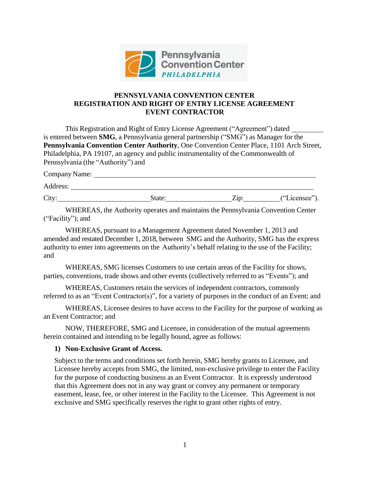

### **PENNSYLVANIA CONVENTION CENTER REGISTRATION AND RIGHT OF ENTRY LICENSE AGREEMENT EVENT CONTRACTOR**

This Registration and Right of Entry License Agreement ("Agreement") dated is entered between **SMG**, a Pennsylvania general partnership ("SMG") as Manager for the **Pennsylvania Convention Center Authority**, One Convention Center Place, 1101 Arch Street, Philadelphia, PA 19107, an agency and public instrumentality of the Commonwealth of Pennsylvania (the "Authority") and

| Company Name: |        |      |               |
|---------------|--------|------|---------------|
| Address:      |        |      |               |
| City:         | State: | Zip: | ("Licensee"). |

WHEREAS, the Authority operates and maintains the Pennsylvania Convention Center ("Facility"); and

WHEREAS, pursuant to a Management Agreement dated November 1, 2013 and amended and restated December 1, 2018, between SMG and the Authority, SMG has the express authority to enter into agreements on the Authority's behalf relating to the use of the Facility; and

WHEREAS, SMG licenses Customers to use certain areas of the Facility for shows, parties, conventions, trade shows and other events (collectively referred to as "Events"); and

WHEREAS, Customers retain the services of independent contractors, commonly referred to as an "Event Contractor(s)", for a variety of purposes in the conduct of an Event; and

WHEREAS, Licensee desires to have access to the Facility for the purpose of working as an Event Contractor; and

NOW, THEREFORE, SMG and Licensee, in consideration of the mutual agreements herein contained and intending to be legally bound, agree as follows:

### **1) Non-Exclusive Grant of Access.**

Subject to the terms and conditions set forth herein, SMG hereby grants to Licensee, and Licensee hereby accepts from SMG, the limited, non-exclusive privilege to enter the Facility for the purpose of conducting business as an Event Contractor. It is expressly understood that this Agreement does not in any way grant or convey any permanent or temporary easement, lease, fee, or other interest in the Facility to the Licensee. This Agreement is not exclusive and SMG specifically reserves the right to grant other rights of entry.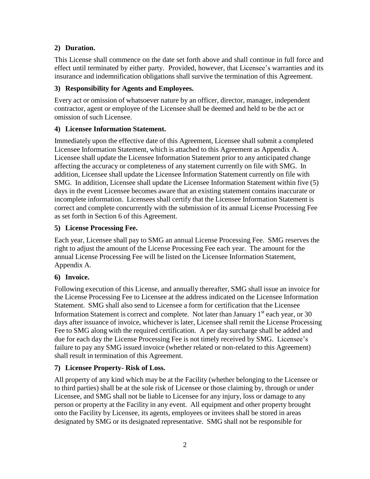## **2) Duration.**

This License shall commence on the date set forth above and shall continue in full force and effect until terminated by either party. Provided, however, that Licensee's warranties and its insurance and indemnification obligations shall survive the termination of this Agreement.

## **3) Responsibility for Agents and Employees.**

Every act or omission of whatsoever nature by an officer, director, manager, independent contractor, agent or employee of the Licensee shall be deemed and held to be the act or omission of such Licensee.

## **4) Licensee Information Statement.**

Immediately upon the effective date of this Agreement, Licensee shall submit a completed Licensee Information Statement, which is attached to this Agreement as Appendix A. Licensee shall update the Licensee Information Statement prior to any anticipated change affecting the accuracy or completeness of any statement currently on file with SMG. In addition, Licensee shall update the Licensee Information Statement currently on file with SMG. In addition, Licensee shall update the Licensee Information Statement within five (5) days in the event Licensee becomes aware that an existing statement contains inaccurate or incomplete information. Licensees shall certify that the Licensee Information Statement is correct and complete concurrently with the submission of its annual License Processing Fee as set forth in Section 6 of this Agreement.

## **5) License Processing Fee.**

Each year, Licensee shall pay to SMG an annual License Processing Fee. SMG reserves the right to adjust the amount of the License Processing Fee each year. The amount for the annual License Processing Fee will be listed on the Licensee Information Statement, Appendix A.

## **6) Invoice.**

Following execution of this License, and annually thereafter, SMG shall issue an invoice for the License Processing Fee to Licensee at the address indicated on the Licensee Information Statement. SMG shall also send to Licensee a form for certification that the Licensee Information Statement is correct and complete. Not later than January  $1<sup>st</sup>$  each year, or 30 days after issuance of invoice, whichever is later, Licensee shall remit the License Processing Fee to SMG along with the required certification. A per day surcharge shall be added and due for each day the License Processing Fee is not timely received by SMG. Licensee's failure to pay any SMG issued invoice (whether related or non-related to this Agreement) shall result in termination of this Agreement.

## **7) Licensee Property- Risk of Loss.**

All property of any kind which may be at the Facility (whether belonging to the Licensee or to third parties) shall be at the sole risk of Licensee or those claiming by, through or under Licensee, and SMG shall not be liable to Licensee for any injury, loss or damage to any person or property at the Facility in any event. All equipment and other property brought onto the Facility by Licensee, its agents, employees or invitees shall be stored in areas designated by SMG or its designated representative. SMG shall not be responsible for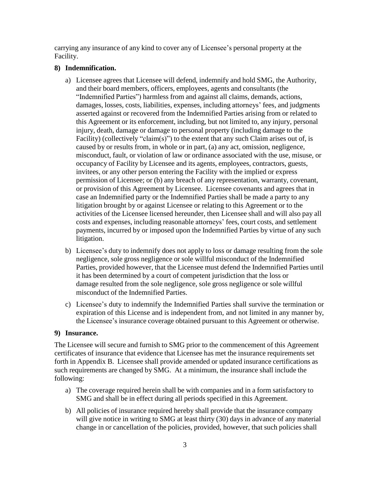carrying any insurance of any kind to cover any of Licensee's personal property at the Facility.

### **8) Indemnification.**

- a) Licensee agrees that Licensee will defend, indemnify and hold SMG, the Authority, and their board members, officers, employees, agents and consultants (the "Indemnified Parties") harmless from and against all claims, demands, actions, damages, losses, costs, liabilities, expenses, including attorneys' fees, and judgments asserted against or recovered from the Indemnified Parties arising from or related to this Agreement or its enforcement, including, but not limited to, any injury, personal injury, death, damage or damage to personal property (including damage to the Facility) (collectively "claim(s)") to the extent that any such Claim arises out of, is caused by or results from, in whole or in part, (a) any act, omission, negligence, misconduct, fault, or violation of law or ordinance associated with the use, misuse, or occupancy of Facility by Licensee and its agents, employees, contractors, guests, invitees, or any other person entering the Facility with the implied or express permission of Licensee; or (b) any breach of any representation, warranty, covenant, or provision of this Agreement by Licensee. Licensee covenants and agrees that in case an Indemnified party or the Indemnified Parties shall be made a party to any litigation brought by or against Licensee or relating to this Agreement or to the activities of the Licensee licensed hereunder, then Licensee shall and will also pay all costs and expenses, including reasonable attorneys' fees, court costs, and settlement payments, incurred by or imposed upon the Indemnified Parties by virtue of any such litigation.
- b) Licensee's duty to indemnify does not apply to loss or damage resulting from the sole negligence, sole gross negligence or sole willful misconduct of the Indemnified Parties, provided however, that the Licensee must defend the Indemnified Parties until it has been determined by a court of competent jurisdiction that the loss or damage resulted from the sole negligence, sole gross negligence or sole willful misconduct of the Indemnified Parties.
- c) Licensee's duty to indemnify the Indemnified Parties shall survive the termination or expiration of this License and is independent from, and not limited in any manner by, the Licensee's insurance coverage obtained pursuant to this Agreement or otherwise.

### **9) Insurance.**

The Licensee will secure and furnish to SMG prior to the commencement of this Agreement certificates of insurance that evidence that Licensee has met the insurance requirements set forth in Appendix B. Licensee shall provide amended or updated insurance certifications as such requirements are changed by SMG. At a minimum, the insurance shall include the following:

- a) The coverage required herein shall be with companies and in a form satisfactory to SMG and shall be in effect during all periods specified in this Agreement.
- b) All policies of insurance required hereby shall provide that the insurance company will give notice in writing to SMG at least thirty (30) days in advance of any material change in or cancellation of the policies, provided, however, that such policies shall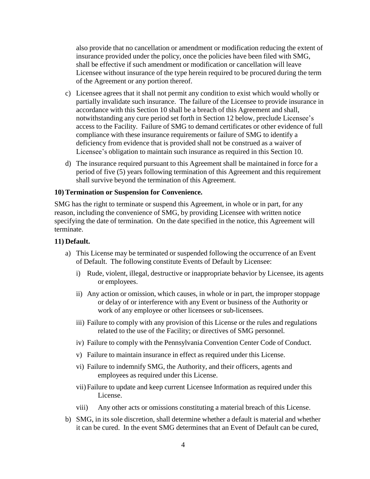also provide that no cancellation or amendment or modification reducing the extent of insurance provided under the policy, once the policies have been filed with SMG, shall be effective if such amendment or modification or cancellation will leave Licensee without insurance of the type herein required to be procured during the term of the Agreement or any portion thereof.

- c) Licensee agrees that it shall not permit any condition to exist which would wholly or partially invalidate such insurance. The failure of the Licensee to provide insurance in accordance with this Section 10 shall be a breach of this Agreement and shall, notwithstanding any cure period set forth in Section 12 below, preclude Licensee's access to the Facility. Failure of SMG to demand certificates or other evidence of full compliance with these insurance requirements or failure of SMG to identify a deficiency from evidence that is provided shall not be construed as a waiver of Licensee's obligation to maintain such insurance as required in this Section 10.
- d) The insurance required pursuant to this Agreement shall be maintained in force for a period of five (5) years following termination of this Agreement and this requirement shall survive beyond the termination of this Agreement.

#### **10)Termination or Suspension for Convenience.**

SMG has the right to terminate or suspend this Agreement, in whole or in part, for any reason, including the convenience of SMG, by providing Licensee with written notice specifying the date of termination. On the date specified in the notice, this Agreement will terminate.

#### **11) Default.**

- a) This License may be terminated or suspended following the occurrence of an Event of Default. The following constitute Events of Default by Licensee:
	- i) Rude, violent, illegal, destructive or inappropriate behavior by Licensee, its agents or employees.
	- ii) Any action or omission, which causes, in whole or in part, the improper stoppage or delay of or interference with any Event or business of the Authority or work of any employee or other licensees or sub-licensees.
	- iii) Failure to comply with any provision of this License or the rules and regulations related to the use of the Facility; or directives of SMG personnel.
	- iv) Failure to comply with the Pennsylvania Convention Center Code of Conduct.
	- v) Failure to maintain insurance in effect as required under this License.
	- vi) Failure to indemnify SMG, the Authority, and their officers, agents and employees as required under this License.
	- vii)Failure to update and keep current Licensee Information as required under this License.
	- viii) Any other acts or omissions constituting a material breach of this License.
- b) SMG, in its sole discretion, shall determine whether a default is material and whether it can be cured. In the event SMG determines that an Event of Default can be cured,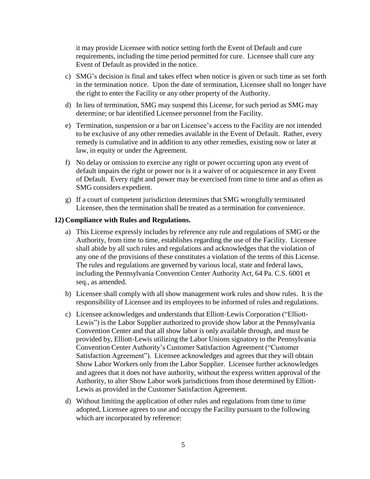it may provide Licensee with notice setting forth the Event of Default and cure requirements, including the time period permitted for cure. Licensee shall cure any Event of Default as provided in the notice.

- c) SMG's decision is final and takes effect when notice is given or such time as set forth in the termination notice. Upon the date of termination, Licensee shall no longer have the right to enter the Facility or any other property of the Authority.
- d) In lieu of termination, SMG may suspend this License, for such period as SMG may determine; or bar identified Licensee personnel from the Facility.
- e) Termination, suspension or a bar on Licensee's access to the Facility are not intended to be exclusive of any other remedies available in the Event of Default. Rather, every remedy is cumulative and in addition to any other remedies, existing now or later at law, in equity or under the Agreement.
- f) No delay or omission to exercise any right or power occurring upon any event of default impairs the right or power nor is it a waiver of or acquiescence in any Event of Default. Every right and power may be exercised from time to time and as often as SMG considers expedient.
- g) If a court of competent jurisdiction determines that SMG wrongfully terminated Licensee, then the termination shall be treated as a termination for convenience.

#### **12) Compliance with Rules and Regulations.**

- a) This License expressly includes by reference any rule and regulations of SMG or the Authority, from time to time, establishes regarding the use of the Facility. Licensee shall abide by all such rules and regulations and acknowledges that the violation of any one of the provisions of these constitutes a violation of the terms of this License. The rules and regulations are governed by various local, state and federal laws, including the Pennsylvania Convention Center Authority Act, 64 Pa. C.S. 6001 et seq., as amended.
- b) Licensee shall comply with all show management work rules and show rules. It is the responsibility of Licensee and its employees to be informed of rules and regulations.
- c) Licensee acknowledges and understands that Elliott-Lewis Corporation ("Elliott-Lewis") is the Labor Supplier authorized to provide show labor at the Pennsylvania Convention Center and that all show labor is only available through, and must be provided by, Elliott-Lewis utilizing the Labor Unions signatory to the Pennsylvania Convention Center Authority's Customer Satisfaction Agreement ("Customer Satisfaction Agreement"). Licensee acknowledges and agrees that they will obtain Show Labor Workers only from the Labor Supplier. Licensee further acknowledges and agrees that it does not have authority, without the express written approval of the Authority, to alter Show Labor work jurisdictions from those determined by Elliott-Lewis as provided in the Customer Satisfaction Agreement.
- d) Without limiting the application of other rules and regulations from time to time adopted, Licensee agrees to use and occupy the Facility pursuant to the following which are incorporated by reference: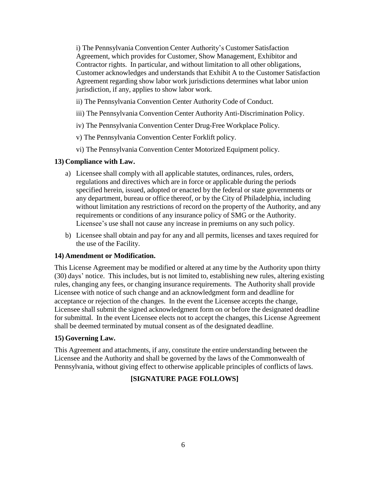i) The Pennsylvania Convention Center Authority's Customer Satisfaction Agreement, which provides for Customer, Show Management, Exhibitor and Contractor rights. In particular, and without limitation to all other obligations, Customer acknowledges and understands that Exhibit A to the Customer Satisfaction Agreement regarding show labor work jurisdictions determines what labor union jurisdiction, if any, applies to show labor work.

- ii) The Pennsylvania Convention Center Authority Code of Conduct.
- iii) The Pennsylvania Convention Center Authority Anti-Discrimination Policy.
- iv) The Pennsylvania Convention Center Drug-Free Workplace Policy.
- v) The Pennsylvania Convention Center Forklift policy.
- vi) The Pennsylvania Convention Center Motorized Equipment policy.

### **13) Compliance with Law.**

- a) Licensee shall comply with all applicable statutes, ordinances, rules, orders, regulations and directives which are in force or applicable during the periods specified herein, issued, adopted or enacted by the federal or state governments or any department, bureau or office thereof, or by the City of Philadelphia, including without limitation any restrictions of record on the property of the Authority, and any requirements or conditions of any insurance policy of SMG or the Authority. Licensee's use shall not cause any increase in premiums on any such policy.
- b) Licensee shall obtain and pay for any and all permits, licenses and taxes required for the use of the Facility.

### **14) Amendment or Modification.**

This License Agreement may be modified or altered at any time by the Authority upon thirty (30) days' notice. This includes, but is not limited to, establishing new rules, altering existing rules, changing any fees, or changing insurance requirements. The Authority shall provide Licensee with notice of such change and an acknowledgment form and deadline for acceptance or rejection of the changes. In the event the Licensee accepts the change, Licensee shall submit the signed acknowledgment form on or before the designated deadline for submittal. In the event Licensee elects not to accept the changes, this License Agreement shall be deemed terminated by mutual consent as of the designated deadline.

### **15) Governing Law.**

This Agreement and attachments, if any, constitute the entire understanding between the Licensee and the Authority and shall be governed by the laws of the Commonwealth of Pennsylvania, without giving effect to otherwise applicable principles of conflicts of laws.

## **[SIGNATURE PAGE FOLLOWS]**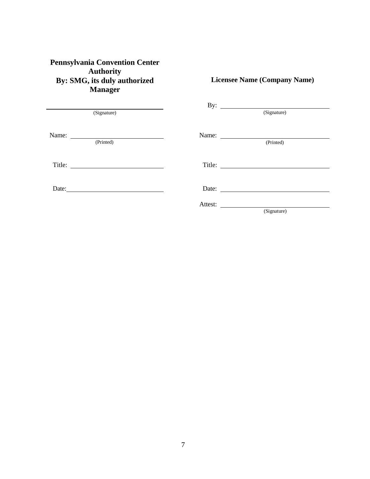## **Pennsylvania Convention Center Authority By: SMG, its duly authorized Manager**

(Signature)

**Licensee Name (Company Name)** By:  $\qquad \qquad$ (Signature) Name:

| Name:     | Name:   |                                                                                                                                                                                                                                      |
|-----------|---------|--------------------------------------------------------------------------------------------------------------------------------------------------------------------------------------------------------------------------------------|
| (Printed) |         | (Printed)                                                                                                                                                                                                                            |
|           |         |                                                                                                                                                                                                                                      |
| Title:    |         | Title: $\qquad \qquad$                                                                                                                                                                                                               |
|           |         |                                                                                                                                                                                                                                      |
|           |         |                                                                                                                                                                                                                                      |
| Date:     | Date:   | <u>and the company of the company of the company of the company of the company of the company of the company of the company of the company of the company of the company of the company of the company of the company of the com</u> |
|           | Attest: |                                                                                                                                                                                                                                      |
|           |         | (Signature)                                                                                                                                                                                                                          |

7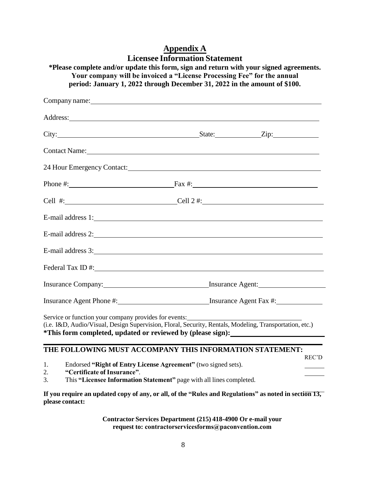| City: <u>City:</u> City: City: City: City: City: City: City: City: City: City: City: City: City: City: City: City: City: City: City: City: City: City: City: City: City: City: City: City: City: City: City: City: City: City: City<br><b>Contact Name:</b> Contact Name:<br>Phone #: $\qquad \qquad$ Fax #:<br>Cell #: $\qquad \qquad$ Cell 2 #:<br>E-mail address 1:<br>E-mail address 2:<br>E-mail address 3:<br>Insurance Company: Insurance Agent:<br>Insurance Agent Phone #: Insurance Agent Fax #:<br>Service or function your company provides for events:<br>(i.e. I&D, Audio/Visual, Design Supervision, Floral, Security, Rentals, Modeling, Transportation, etc.)<br>*This form completed, updated or reviewed by (please sign): | Company name: Note that the contract of the contract of the contract of the contract of the contract of the contract of the contract of the contract of the contract of the contract of the contract of the contract of the co |                                                                |       |
|-----------------------------------------------------------------------------------------------------------------------------------------------------------------------------------------------------------------------------------------------------------------------------------------------------------------------------------------------------------------------------------------------------------------------------------------------------------------------------------------------------------------------------------------------------------------------------------------------------------------------------------------------------------------------------------------------------------------------------------------------|--------------------------------------------------------------------------------------------------------------------------------------------------------------------------------------------------------------------------------|----------------------------------------------------------------|-------|
|                                                                                                                                                                                                                                                                                                                                                                                                                                                                                                                                                                                                                                                                                                                                               |                                                                                                                                                                                                                                |                                                                |       |
|                                                                                                                                                                                                                                                                                                                                                                                                                                                                                                                                                                                                                                                                                                                                               |                                                                                                                                                                                                                                |                                                                |       |
|                                                                                                                                                                                                                                                                                                                                                                                                                                                                                                                                                                                                                                                                                                                                               |                                                                                                                                                                                                                                |                                                                |       |
|                                                                                                                                                                                                                                                                                                                                                                                                                                                                                                                                                                                                                                                                                                                                               |                                                                                                                                                                                                                                |                                                                |       |
|                                                                                                                                                                                                                                                                                                                                                                                                                                                                                                                                                                                                                                                                                                                                               |                                                                                                                                                                                                                                |                                                                |       |
|                                                                                                                                                                                                                                                                                                                                                                                                                                                                                                                                                                                                                                                                                                                                               |                                                                                                                                                                                                                                |                                                                |       |
|                                                                                                                                                                                                                                                                                                                                                                                                                                                                                                                                                                                                                                                                                                                                               |                                                                                                                                                                                                                                |                                                                |       |
|                                                                                                                                                                                                                                                                                                                                                                                                                                                                                                                                                                                                                                                                                                                                               |                                                                                                                                                                                                                                |                                                                |       |
|                                                                                                                                                                                                                                                                                                                                                                                                                                                                                                                                                                                                                                                                                                                                               |                                                                                                                                                                                                                                |                                                                |       |
|                                                                                                                                                                                                                                                                                                                                                                                                                                                                                                                                                                                                                                                                                                                                               |                                                                                                                                                                                                                                |                                                                |       |
|                                                                                                                                                                                                                                                                                                                                                                                                                                                                                                                                                                                                                                                                                                                                               |                                                                                                                                                                                                                                |                                                                |       |
|                                                                                                                                                                                                                                                                                                                                                                                                                                                                                                                                                                                                                                                                                                                                               |                                                                                                                                                                                                                                |                                                                |       |
|                                                                                                                                                                                                                                                                                                                                                                                                                                                                                                                                                                                                                                                                                                                                               |                                                                                                                                                                                                                                |                                                                |       |
|                                                                                                                                                                                                                                                                                                                                                                                                                                                                                                                                                                                                                                                                                                                                               | 1.<br>"Certificate of Insurance".<br>2.                                                                                                                                                                                        | Endorsed "Right of Entry License Agreement" (two signed sets). | REC'D |

# **Appendix A Licensee Information Statement**

3. This **"Licensee Information Statement"** page with all lines completed.

**If you require an updated copy of any, or all, of the "Rules and Regulations" as noted in section 13, please contact:**

> **Contractor Services Department (215) 418-4900 Or e-mail your request to: contractorservicesforms@paconvention.com**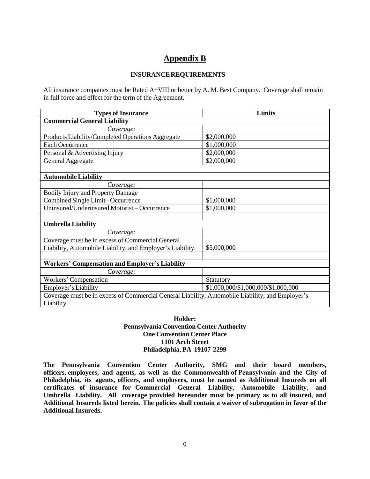# **Appendix B**

#### **INSURANCEREQUIREMENTS**

All insurance companies must be Rated A+VIII or better by A. M. Best Company. Coverage shall remain in full force and effect for the term of the Agreement.

| <b>Types of Insurance</b>                                                                                     | Limits                              |  |  |  |
|---------------------------------------------------------------------------------------------------------------|-------------------------------------|--|--|--|
| <b>Commercial General Liability</b>                                                                           |                                     |  |  |  |
| Coverage:                                                                                                     |                                     |  |  |  |
| Products Liability/Completed Operations Aggregate                                                             | \$2,000,000                         |  |  |  |
| <b>Each Occurrence</b>                                                                                        | \$1,000,000                         |  |  |  |
| Personal & Advertising Injury                                                                                 | \$2,000,000                         |  |  |  |
| General Aggregate                                                                                             | \$2,000,000                         |  |  |  |
|                                                                                                               |                                     |  |  |  |
| <b>Automobile Liability</b>                                                                                   |                                     |  |  |  |
| Coverage:                                                                                                     |                                     |  |  |  |
| <b>Bodily Injury and Property Damage</b>                                                                      |                                     |  |  |  |
| Combined Single Limit-Occurrence                                                                              | \$1,000,000                         |  |  |  |
| Uninsured/Underinsured Motorist - Occurrence                                                                  | \$1,000,000                         |  |  |  |
|                                                                                                               |                                     |  |  |  |
| <b>Umbrella Liability</b>                                                                                     |                                     |  |  |  |
| Coverage:                                                                                                     |                                     |  |  |  |
| Coverage must be in excess of Commercial General                                                              |                                     |  |  |  |
| Liability, Automobile Liability, and Employer's Liability.                                                    | \$5,000,000                         |  |  |  |
|                                                                                                               |                                     |  |  |  |
| <b>Workers' Compensation and Employer's Liability</b>                                                         |                                     |  |  |  |
| Coverage:                                                                                                     |                                     |  |  |  |
| Workers' Compensation                                                                                         | Statutory                           |  |  |  |
| Employer's Liability                                                                                          | \$1,000,000/\$1,000,000/\$1,000,000 |  |  |  |
| Coverage must be in excess of Commercial General Liability, Automobile Liability, and Employer's<br>Liability |                                     |  |  |  |

#### **Holder: Pennsylvania Convention Center Authority One Convention Center Place 1101 Arch Street Philadelphia, PA 19107-2299**

**The Pennsylvania Convention Center Authority, SMG and their board members, officers, employees, and agents, as well as the Commonwealth of Pennsylvania and the City of Philadelphia, its agents, officers, and employees, must be named as Additional Insureds on all certificates of insurance for Commercial General Liability, Automobile Liability, and Umbrella Liability. All coverage provided hereunder must be primary as to all insured, and Additional Insureds listed herein. The policies shall contain a waiver of subrogation in favor of the Additional Insureds.**